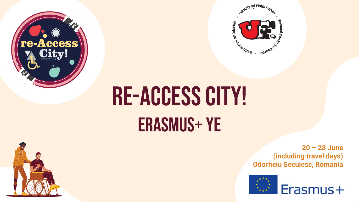



## RE-ACCESS CITY! Erasmus+ Ye



**20 – 28 June (including travel days) Odorheiu Secuiesc, Romania**

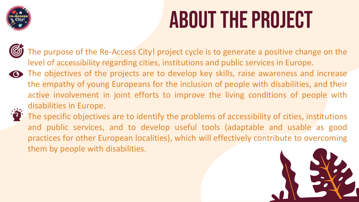

### ABOUT The project

The purpose of the Re-Access City! project cycle is to generate a positive change on the level of accessibility regarding cities, institutions and public services in Europe.

The objectives of the projects are to develop key skills, raise awareness and increase the empathy of young Europeans for the inclusion of people with disabilities, and their active involvement in joint efforts to improve the living conditions of people with disabilities in Europe.



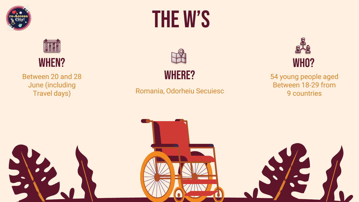





Between 20 and 28 June (including Travel days)

### THE W's



WHERE?

#### Romania, Odorheiu Secuiesc



54 young people aged Between 18-29 from 9 countries

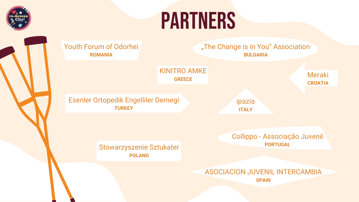

### **PARTNERS**

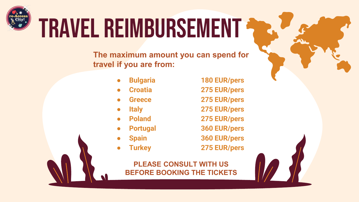

# Travel reimbursement

**The maximum amount you can spend for travel if you are from:**

- 
- 
- 
- 
- 
- 
- 
- 

● **Bulgaria 180 EUR/pers** ● **Croatia 275 EUR/pers** ● **Greece 275 EUR/pers** ● **Italy 275 EUR/pers** ● **Poland 275 EUR/pers** ● **Portugal 360 EUR/pers** ● **Spain 360 EUR/pers** ● **Turkey 275 EUR/pers**

**PLEASE CONSULT WITH US BEFORE BOOKING THE TICKETS**

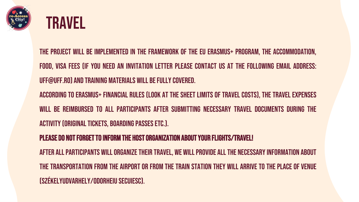



The project will be implemented in the framework of the EU Erasmus+ Program, the accommodation, food, visa fees (if you need an invitation letter please contact us at the following email address: uff@uff.ro) and training materials will befullycovered.

According to Erasmus+ financial rules (look at the sheet Limits of travelcosts), the travel expenses will be reimbursed to all participants after submitting necessary travel documents during the ACTIVITY (ORIGINAL TICKETS, BOARDING PASSES ETC.).

PLEASE DO NOT FORGET TO INFORM THE HOST ORGANIZATION ABOUT YOUR FLIGHTS/TRAVEL!

AFTER ALL PARTICIPANTS WILL ORGANIZE THEIR TRAVEL, WE WILL PROVIDE ALL THE NECESSARY INFORMATION ABOUT the transportation from the airport or from the train station they will arrive to theplace of venue (Székelyudvarhely/Odorheiu Secuiesc).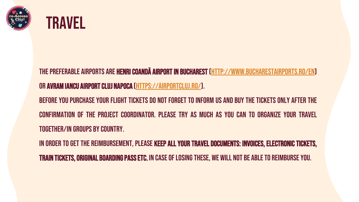



THE PREFERABLE AIRPORTS ARE **HENRI COANDĂ AIRPORT IN BUCHAREST (HTTP://WWW.**BUCHARESTAIRPORTS.RO/EN) OR AVRAM IANCU AIRPORT CLUJ NAPOCA (HTTPS://AIRPORTCLUJ.RO/).

BEFORE YOU PURCHASE YOUR FLIGHT TICKETS DO NOT FORGET TO INFORM US AND BUY THE TICKETS ONLY AFTER THE confirmation of the project coordinator. Please try as much as you can to organize your travel together/in groups bycountry.

IN ORDER TO GET THE REIMBURSEMENT, PLEASE KEEP ALL YOUR TRAVEL DOCUMENTS: INVOICES, ELECTRONIC TICKETS, **train tickets, original boarding pass etc.** In case of losing these, we will not be able to reimburse you.